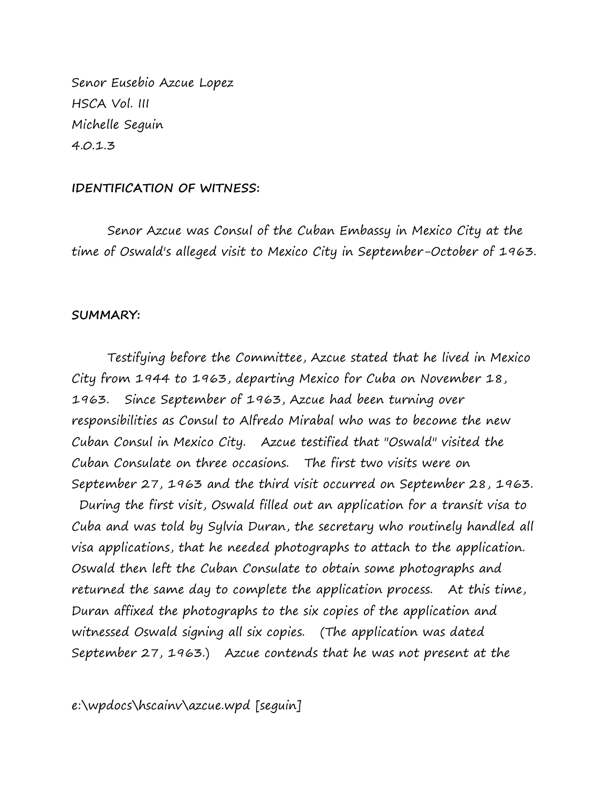Senor Eusebio Azcue Lopez HSCA Vol. III Michelle Seguin 4.0.1.3

## **IDENTIFICATION OF WITNESS:**

Senor Azcue was Consul of the Cuban Embassy in Mexico City at the time of Oswald's alleged visit to Mexico City in September-October of 1963.

## **SUMMARY:**

Testifying before the Committee, Azcue stated that he lived in Mexico City from 1944 to 1963, departing Mexico for Cuba on November 18, 1963. Since September of 1963, Azcue had been turning over responsibilities as Consul to Alfredo Mirabal who was to become the new Cuban Consul in Mexico City. Azcue testified that "Oswald" visited the Cuban Consulate on three occasions. The first two visits were on September 27, 1963 and the third visit occurred on September 28, 1963. During the first visit, Oswald filled out an application for a transit visa to Cuba and was told by Sylvia Duran, the secretary who routinely handled all visa applications, that he needed photographs to attach to the application. Oswald then left the Cuban Consulate to obtain some photographs and returned the same day to complete the application process. At this time, Duran affixed the photographs to the six copies of the application and witnessed Oswald signing all six copies. (The application was dated September 27, 1963.) Azcue contends that he was not present at the

e:\wpdocs\hscainv\azcue.wpd [seguin]